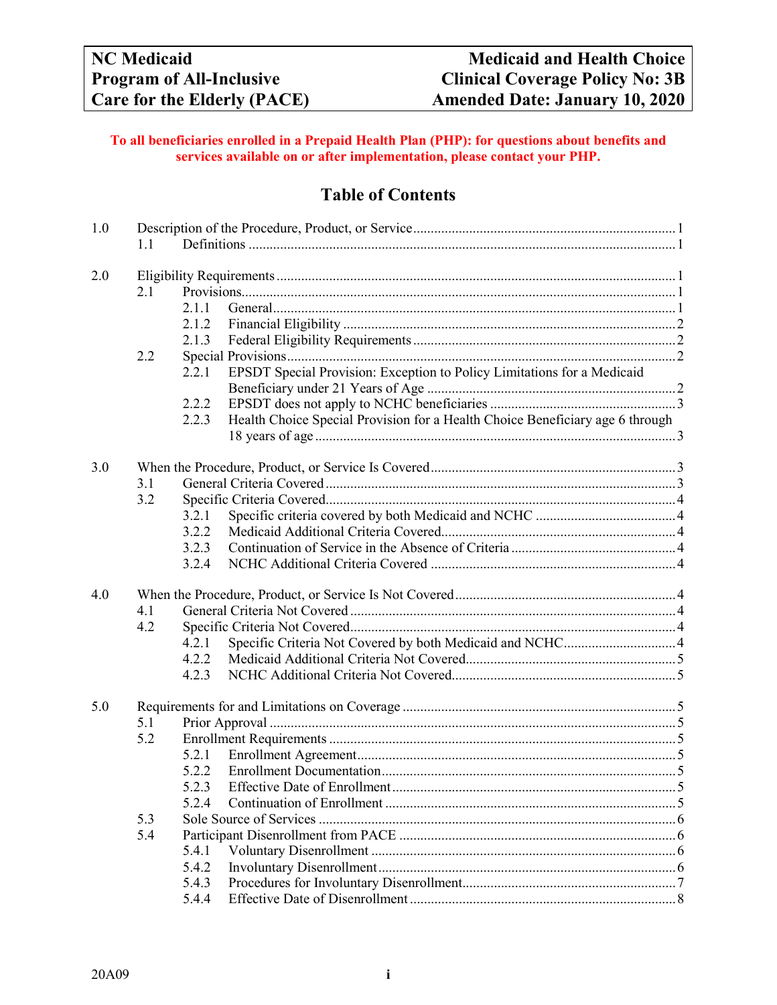### **To all beneficiaries enrolled in a Prepaid Health Plan (PHP): for questions about benefits and services available on or after implementation, please contact your PHP.**

# **Table of Contents**

| 1.0 | 1.1 |                                                                                        |  |  |  |  |
|-----|-----|----------------------------------------------------------------------------------------|--|--|--|--|
| 2.0 |     |                                                                                        |  |  |  |  |
|     | 2.1 |                                                                                        |  |  |  |  |
|     |     | 2.1.1                                                                                  |  |  |  |  |
|     |     | 2.1.2                                                                                  |  |  |  |  |
|     |     | 2.1.3                                                                                  |  |  |  |  |
|     | 2.2 |                                                                                        |  |  |  |  |
|     |     | EPSDT Special Provision: Exception to Policy Limitations for a Medicaid<br>2.2.1       |  |  |  |  |
|     |     |                                                                                        |  |  |  |  |
|     |     | 2.2.2                                                                                  |  |  |  |  |
|     |     | Health Choice Special Provision for a Health Choice Beneficiary age 6 through<br>2.2.3 |  |  |  |  |
|     |     |                                                                                        |  |  |  |  |
| 3.0 |     |                                                                                        |  |  |  |  |
|     | 3.1 |                                                                                        |  |  |  |  |
|     | 3.2 |                                                                                        |  |  |  |  |
|     |     | 3.2.1                                                                                  |  |  |  |  |
|     |     | 3.2.2                                                                                  |  |  |  |  |
|     |     | 3.2.3                                                                                  |  |  |  |  |
|     |     | 3.2.4                                                                                  |  |  |  |  |
| 4.0 |     |                                                                                        |  |  |  |  |
|     | 4.1 |                                                                                        |  |  |  |  |
|     | 4.2 |                                                                                        |  |  |  |  |
|     |     | 4.2.1                                                                                  |  |  |  |  |
|     |     | 4.2.2                                                                                  |  |  |  |  |
|     |     | 4.2.3                                                                                  |  |  |  |  |
|     |     |                                                                                        |  |  |  |  |
| 5.0 |     |                                                                                        |  |  |  |  |
|     | 5.1 |                                                                                        |  |  |  |  |
|     | 5.2 |                                                                                        |  |  |  |  |
|     |     | 5.2.1                                                                                  |  |  |  |  |
|     |     | 5.2.2                                                                                  |  |  |  |  |
|     |     | 5.2.3                                                                                  |  |  |  |  |
|     |     | 5.2.4                                                                                  |  |  |  |  |
|     | 5.3 |                                                                                        |  |  |  |  |
|     | 5.4 |                                                                                        |  |  |  |  |
|     |     | 5.4.1                                                                                  |  |  |  |  |
|     |     | 5.4.2                                                                                  |  |  |  |  |
|     |     | 5.4.3                                                                                  |  |  |  |  |
|     |     | 5.4.4                                                                                  |  |  |  |  |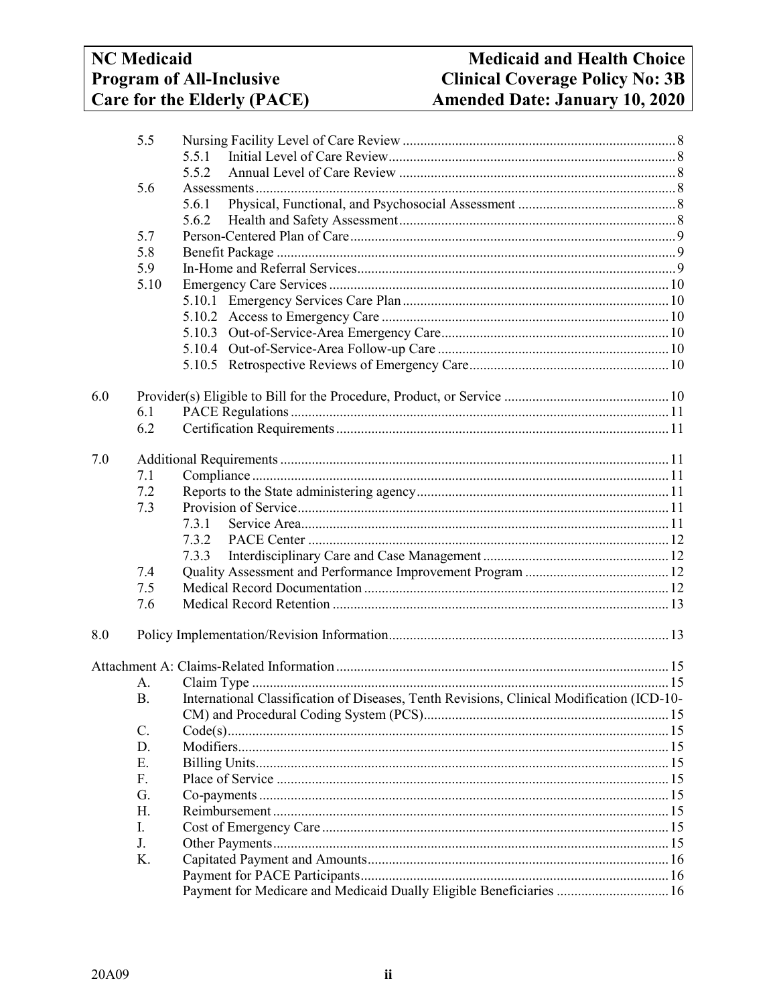# **NC** Medicaid **Program of All-Inclusive** Care for the Elderly (PACE)

|     | 5.5       |                                                                                           |  |  |  |
|-----|-----------|-------------------------------------------------------------------------------------------|--|--|--|
|     |           | 5.5.1                                                                                     |  |  |  |
|     |           | 5.5.2                                                                                     |  |  |  |
|     | 5.6       |                                                                                           |  |  |  |
|     |           | 5.6.1                                                                                     |  |  |  |
|     |           | 5.6.2                                                                                     |  |  |  |
|     | 5.7       |                                                                                           |  |  |  |
|     | 5.8       |                                                                                           |  |  |  |
|     | 5.9       |                                                                                           |  |  |  |
|     | 5.10      |                                                                                           |  |  |  |
|     |           |                                                                                           |  |  |  |
|     |           |                                                                                           |  |  |  |
|     |           |                                                                                           |  |  |  |
|     |           |                                                                                           |  |  |  |
|     |           |                                                                                           |  |  |  |
| 6.0 |           |                                                                                           |  |  |  |
|     | 6.1       |                                                                                           |  |  |  |
|     | 6.2       |                                                                                           |  |  |  |
| 7.0 |           |                                                                                           |  |  |  |
|     | 7.1       |                                                                                           |  |  |  |
|     | 7.2       |                                                                                           |  |  |  |
|     | 7.3       |                                                                                           |  |  |  |
|     |           | 7.3.1                                                                                     |  |  |  |
|     |           |                                                                                           |  |  |  |
|     |           | 7.3.3                                                                                     |  |  |  |
|     | 7.4       |                                                                                           |  |  |  |
|     | 7.5       |                                                                                           |  |  |  |
|     | 7.6       |                                                                                           |  |  |  |
| 8.0 |           |                                                                                           |  |  |  |
|     |           |                                                                                           |  |  |  |
|     | А.        |                                                                                           |  |  |  |
|     | <b>B.</b> | International Classification of Diseases, Tenth Revisions, Clinical Modification (ICD-10- |  |  |  |
|     |           |                                                                                           |  |  |  |
|     | C.        |                                                                                           |  |  |  |
|     | D.        |                                                                                           |  |  |  |
|     | Ε.        |                                                                                           |  |  |  |
|     | F.        |                                                                                           |  |  |  |
|     | G.        |                                                                                           |  |  |  |
|     | Н.        |                                                                                           |  |  |  |
| I.  |           |                                                                                           |  |  |  |
|     | J.        |                                                                                           |  |  |  |
|     | K.        |                                                                                           |  |  |  |
|     |           |                                                                                           |  |  |  |
|     |           | Payment for Medicare and Medicaid Dually Eligible Beneficiaries  16                       |  |  |  |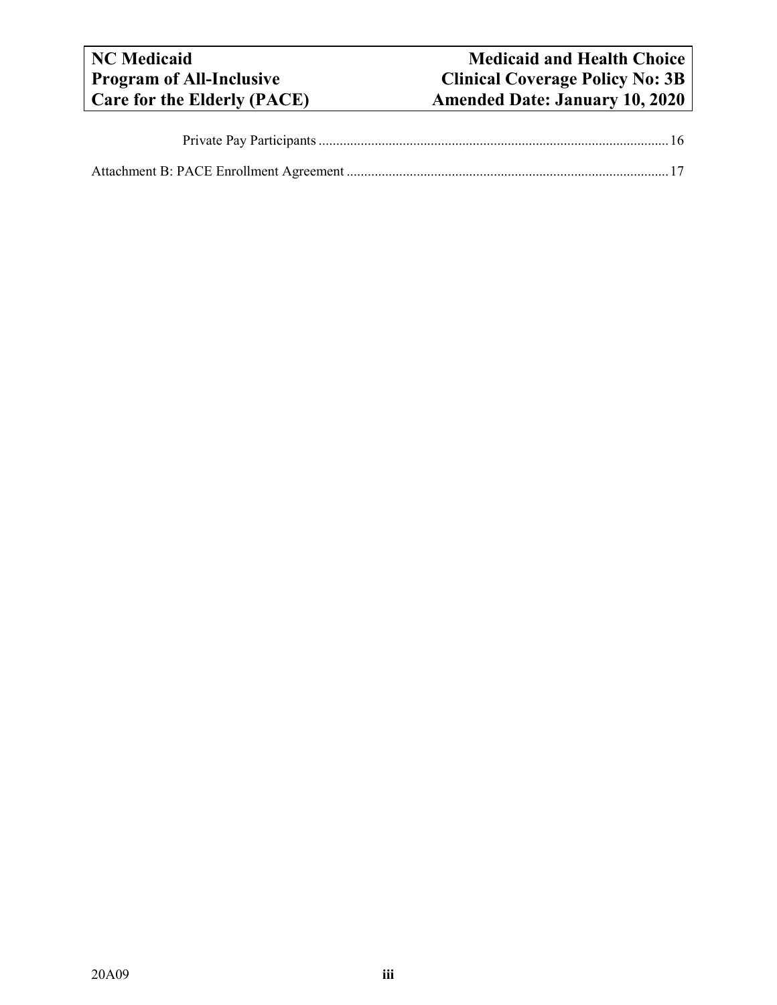# **NC** Medicaid<br> **Nedicaid and Health Choice**<br> **Program of All-Inclusive**<br> **Clinical Coverage Policy No: 3B Program of All-Inclusive Clinical Coverage Policy No: 3B**<br> **Care for the Elderly (PACE) Care Amended Date: January 10, 2020 Care for the Elderly (PACE) Amended Date: January 10, 2020**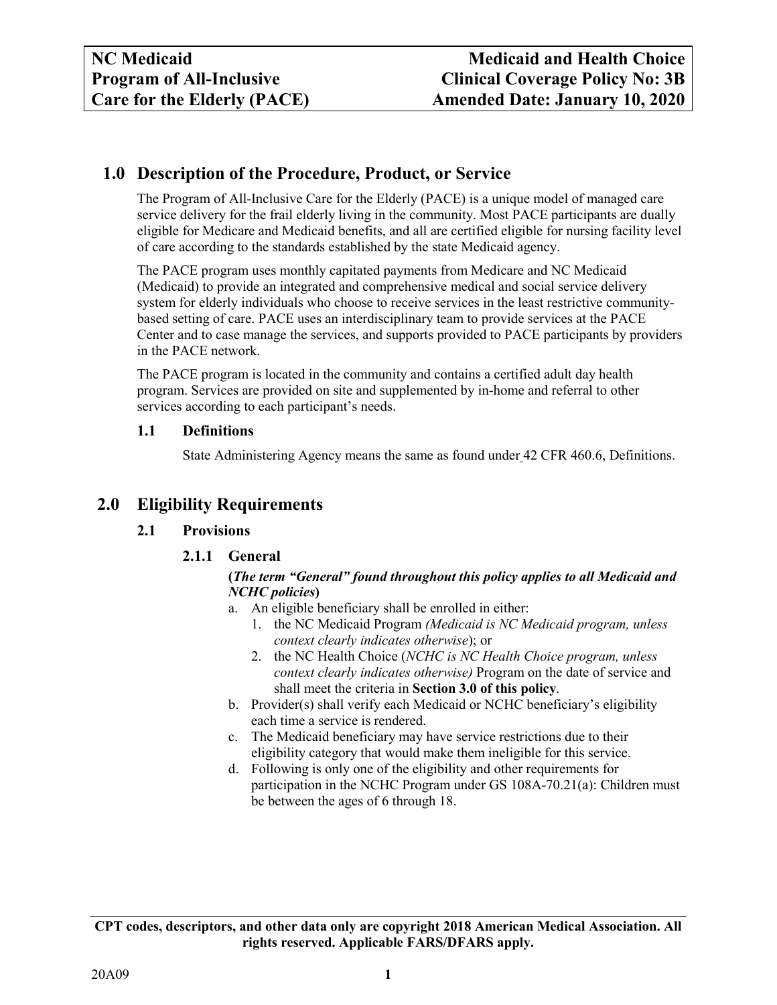# <span id="page-3-0"></span>**1.0 Description of the Procedure, Product, or Service**

The Program of All-Inclusive Care for the Elderly (PACE) is a unique model of managed care service delivery for the frail elderly living in the community. Most PACE participants are dually eligible for Medicare and Medicaid benefits, and all are certified eligible for nursing facility level of care according to the standards established by the state Medicaid agency.

The PACE program uses monthly capitated payments from Medicare and NC Medicaid (Medicaid) to provide an integrated and comprehensive medical and social service delivery system for elderly individuals who choose to receive services in the least restrictive communitybased setting of care. PACE uses an interdisciplinary team to provide services at the PACE Center and to case manage the services, and supports provided to PACE participants by providers in the PACE network.

The PACE program is located in the community and contains a certified adult day health program. Services are provided on site and supplemented by in-home and referral to other services according to each participant's needs.

## <span id="page-3-1"></span>**1.1 Definitions**

State Administering Agency means the same as found under 42 CFR 460.6, Definitions.

# <span id="page-3-4"></span><span id="page-3-3"></span><span id="page-3-2"></span>**2.0 Eligibility Requirements**

## **2.1 Provisions**

## **2.1.1 General**

## **(***The term "General" found throughout this policy applies to all Medicaid and NCHC policies***)**

- a. An eligible beneficiary shall be enrolled in either:
	- 1. the NC Medicaid Program *(Medicaid is NC Medicaid program, unless context clearly indicates otherwise*); or
	- 2. the NC Health Choice (*NCHC is NC Health Choice program, unless context clearly indicates otherwise)* Program on the date of service and shall meet the criteria in **Section 3.0 of this policy**.
- b. Provider(s) shall verify each Medicaid or NCHC beneficiary's eligibility each time a service is rendered.
- c. The Medicaid beneficiary may have service restrictions due to their eligibility category that would make them ineligible for this service.
- d. Following is only one of the eligibility and other requirements for participation in the NCHC Program under GS 108A-70.21(a): Children must be between the ages of 6 through 18.

**CPT codes, descriptors, and other data only are copyright 2018 American Medical Association. All rights reserved. Applicable FARS/DFARS apply.**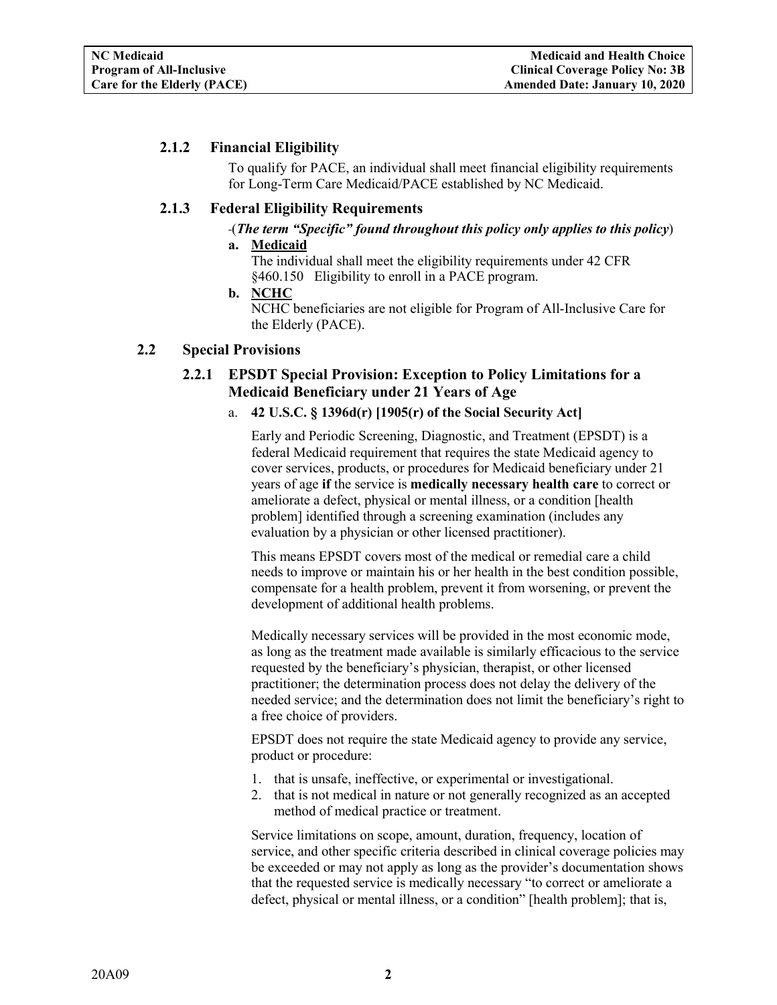## <span id="page-4-0"></span>**2.1.2 Financial Eligibility**

To qualify for PACE, an individual shall meet financial eligibility requirements for Long-Term Care Medicaid/PACE established by NC Medicaid.

## <span id="page-4-1"></span>**2.1.3 Federal Eligibility Requirements**

## (*The term "Specific" found throughout this policy only applies to this policy*)

- **a. Medicaid** The individual shall meet the eligibility requirements under 42 CFR §460.150 Eligibility to enroll in a PACE program.
- **b. NCHC** NCHC beneficiaries are not eligible for Program of All-Inclusive Care for the Elderly (PACE).

#### <span id="page-4-3"></span><span id="page-4-2"></span>**2.2 Special Provisions**

## **2.2.1 EPSDT Special Provision: Exception to Policy Limitations for a Medicaid Beneficiary under 21 Years of Age**

#### a. **42 U.S.C. § 1396d(r) [1905(r) of the Social Security Act]**

Early and Periodic Screening, Diagnostic, and Treatment (EPSDT) is a federal Medicaid requirement that requires the state Medicaid agency to cover services, products, or procedures for Medicaid beneficiary under 21 years of age **if** the service is **medically necessary health care** to correct or ameliorate a defect, physical or mental illness, or a condition [health problem] identified through a screening examination (includes any evaluation by a physician or other licensed practitioner).

This means EPSDT covers most of the medical or remedial care a child needs to improve or maintain his or her health in the best condition possible, compensate for a health problem, prevent it from worsening, or prevent the development of additional health problems.

Medically necessary services will be provided in the most economic mode, as long as the treatment made available is similarly efficacious to the service requested by the beneficiary's physician, therapist, or other licensed practitioner; the determination process does not delay the delivery of the needed service; and the determination does not limit the beneficiary's right to a free choice of providers.

EPSDT does not require the state Medicaid agency to provide any service, product or procedure:

- 1. that is unsafe, ineffective, or experimental or investigational.
- 2. that is not medical in nature or not generally recognized as an accepted method of medical practice or treatment.

Service limitations on scope, amount, duration, frequency, location of service, and other specific criteria described in clinical coverage policies may be exceeded or may not apply as long as the provider's documentation shows that the requested service is medically necessary "to correct or ameliorate a defect, physical or mental illness, or a condition" [health problem]; that is,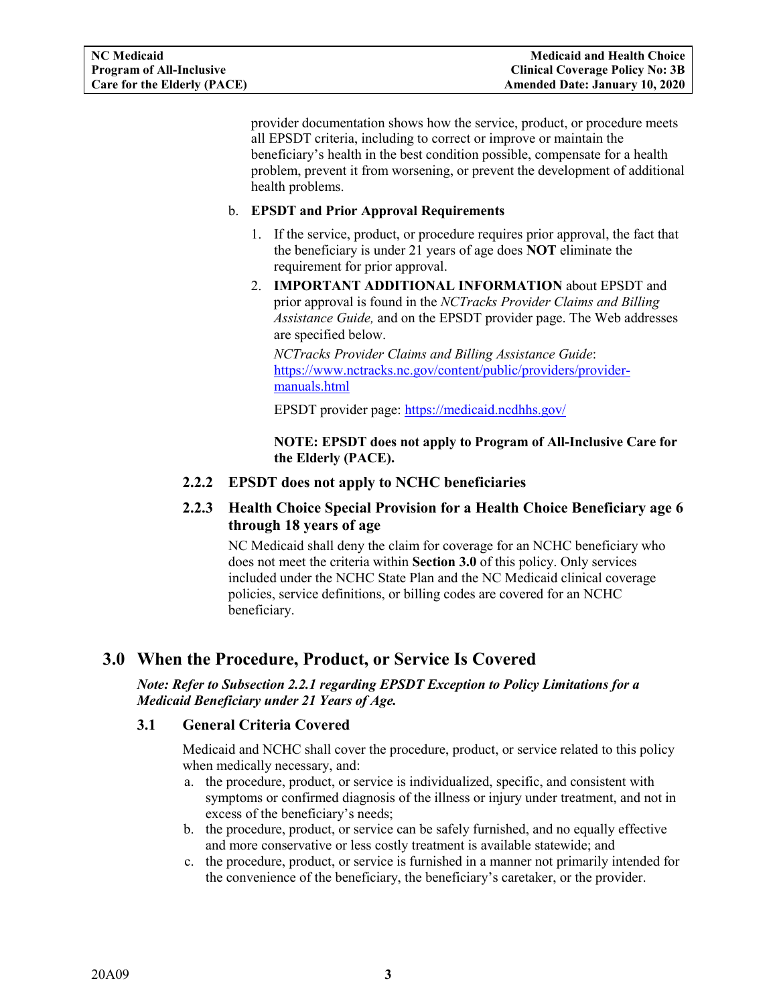provider documentation shows how the service, product, or procedure meets all EPSDT criteria, including to correct or improve or maintain the beneficiary's health in the best condition possible, compensate for a health problem, prevent it from worsening, or prevent the development of additional health problems.

#### b. **EPSDT and Prior Approval Requirements**

- 1. If the service, product, or procedure requires prior approval, the fact that the beneficiary is under 21 years of age does **NOT** eliminate the requirement for prior approval.
- 2. **IMPORTANT ADDITIONAL INFORMATION** about EPSDT and prior approval is found in the *NCTracks Provider Claims and Billing Assistance Guide,* and on the EPSDT provider page. The Web addresses are specified below.

*NCTracks Provider Claims and Billing Assistance Guide*: [https://www.nctracks.nc.gov/content/public/providers/provider](https://www.nctracks.nc.gov/content/public/providers/provider-manuals.html)[manuals.html](https://www.nctracks.nc.gov/content/public/providers/provider-manuals.html)

EPSDT provider page: <https://medicaid.ncdhhs.gov/>

**NOTE: EPSDT does not apply to Program of All-Inclusive Care for the Elderly (PACE).**

#### <span id="page-5-0"></span>**2.2.2 EPSDT does not apply to NCHC beneficiaries**

<span id="page-5-1"></span>**2.2.3 Health Choice Special Provision for a Health Choice Beneficiary age 6 through 18 years of age**

NC Medicaid shall deny the claim for coverage for an NCHC beneficiary who does not meet the criteria within **Section 3.0** of this policy. Only services included under the NCHC State Plan and the NC Medicaid clinical coverage policies, service definitions, or billing codes are covered for an NCHC beneficiary.

## <span id="page-5-2"></span>**3.0 When the Procedure, Product, or Service Is Covered**

#### *Note: Refer to Subsection 2.2.1 regarding EPSDT Exception to Policy Limitations for a Medicaid Beneficiary under 21 Years of Age.*

#### <span id="page-5-3"></span>**3.1 General Criteria Covered**

Medicaid and NCHC shall cover the procedure, product, or service related to this policy when medically necessary, and:

- a. the procedure, product, or service is individualized, specific, and consistent with symptoms or confirmed diagnosis of the illness or injury under treatment, and not in excess of the beneficiary's needs;
- b. the procedure, product, or service can be safely furnished, and no equally effective and more conservative or less costly treatment is available statewide; and
- c. the procedure, product, or service is furnished in a manner not primarily intended for the convenience of the beneficiary, the beneficiary's caretaker, or the provider.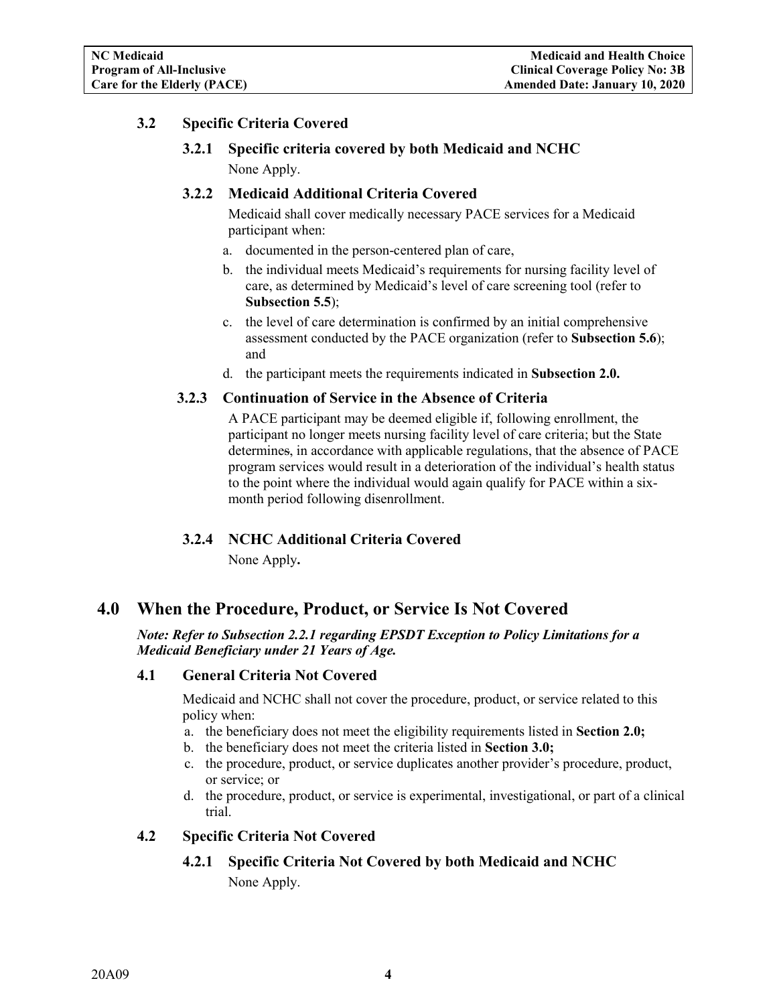## <span id="page-6-2"></span><span id="page-6-1"></span><span id="page-6-0"></span>**3.2 Specific Criteria Covered**

**3.2.1 Specific criteria covered by both Medicaid and NCHC** None Apply.

#### **3.2.2 Medicaid Additional Criteria Covered**

Medicaid shall cover medically necessary PACE services for a Medicaid participant when:

- a. documented in the person-centered plan of care,
- b. the individual meets Medicaid's requirements for nursing facility level of care, as determined by Medicaid's level of care screening tool (refer to **Subsection 5.5**);
- c. the level of care determination is confirmed by an initial comprehensive assessment conducted by the PACE organization (refer to **Subsection 5.6**); and
- d. the participant meets the requirements indicated in **Subsection 2.0.**

#### <span id="page-6-3"></span>**3.2.3 Continuation of Service in the Absence of Criteria**

A PACE participant may be deemed eligible if, following enrollment, the participant no longer meets nursing facility level of care criteria; but the State determines, in accordance with applicable regulations, that the absence of PACE program services would result in a deterioration of the individual's health status to the point where the individual would again qualify for PACE within a sixmonth period following disenrollment.

#### **3.2.4 NCHC Additional Criteria Covered**

None Apply**.**

## <span id="page-6-5"></span><span id="page-6-4"></span>**4.0 When the Procedure, Product, or Service Is Not Covered**

*Note: Refer to Subsection 2.2.1 regarding EPSDT Exception to Policy Limitations for a Medicaid Beneficiary under 21 Years of Age.*

#### <span id="page-6-6"></span>**4.1 General Criteria Not Covered**

Medicaid and NCHC shall not cover the procedure, product, or service related to this policy when:

- a. the beneficiary does not meet the eligibility requirements listed in **Section 2.0;**
- b. the beneficiary does not meet the criteria listed in **Section 3.0;**
- c. the procedure, product, or service duplicates another provider's procedure, product, or service; or
- d. the procedure, product, or service is experimental, investigational, or part of a clinical trial.

#### <span id="page-6-8"></span><span id="page-6-7"></span>**4.2 Specific Criteria Not Covered**

## **4.2.1 Specific Criteria Not Covered by both Medicaid and NCHC**

None Apply.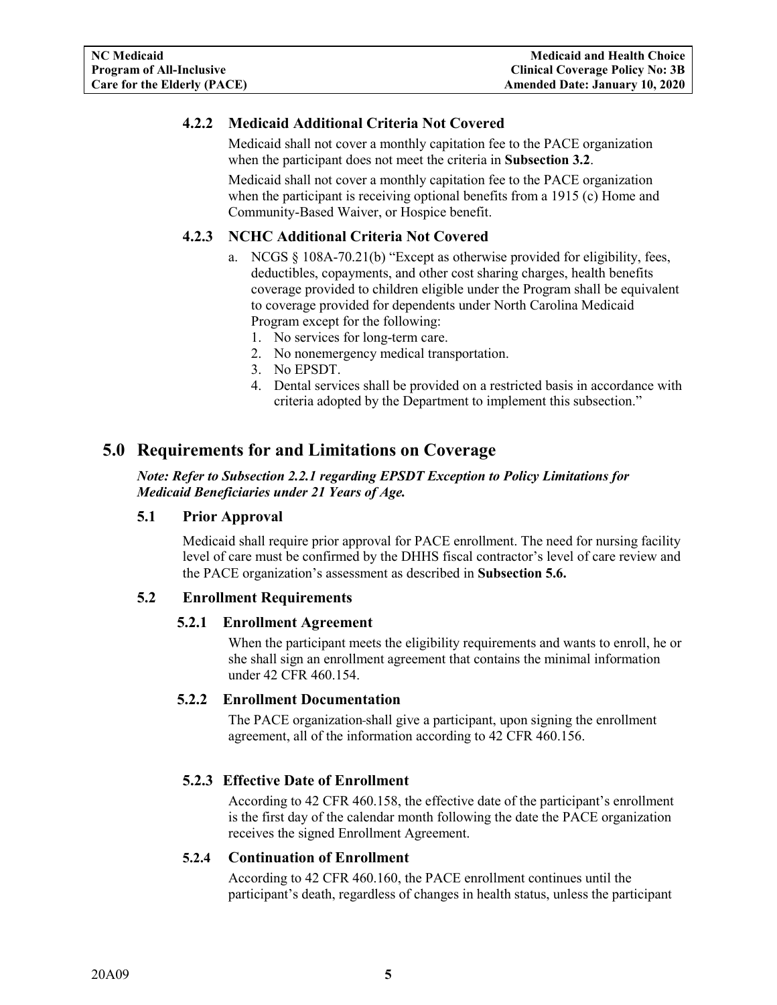## <span id="page-7-0"></span>**4.2.2 Medicaid Additional Criteria Not Covered**

Medicaid shall not cover a monthly capitation fee to the PACE organization when the participant does not meet the criteria in **Subsection 3.2**.

Medicaid shall not cover a monthly capitation fee to the PACE organization when the participant is receiving optional benefits from a 1915 (c) Home and Community-Based Waiver, or Hospice benefit.

## <span id="page-7-1"></span>**4.2.3 NCHC Additional Criteria Not Covered**

- a. NCGS  $\S$  108A-70.21(b) "Except as otherwise provided for eligibility, fees, deductibles, copayments, and other cost sharing charges, health benefits coverage provided to children eligible under the Program shall be equivalent to coverage provided for dependents under North Carolina Medicaid Program except for the following:
	- 1. No services for long-term care.
	- 2. No nonemergency medical transportation.
	- 3. No EPSDT.
	- 4. Dental services shall be provided on a restricted basis in accordance with criteria adopted by the Department to implement this subsection."

## <span id="page-7-2"></span>**5.0 Requirements for and Limitations on Coverage**

*Note: Refer to Subsection 2.2.1 regarding EPSDT Exception to Policy Limitations for Medicaid Beneficiaries under 21 Years of Age.*

#### <span id="page-7-3"></span>**5.1 Prior Approval**

Medicaid shall require prior approval for PACE enrollment. The need for nursing facility level of care must be confirmed by the DHHS fiscal contractor's level of care review and the PACE organization's assessment as described in **Subsection 5.6.**

#### <span id="page-7-5"></span><span id="page-7-4"></span>**5.2 Enrollment Requirements**

#### **5.2.1 Enrollment Agreement**

When the participant meets the eligibility requirements and wants to enroll, he or she shall sign an enrollment agreement that contains the minimal information under 42 CFR 460.154.

#### <span id="page-7-6"></span>**5.2.2 Enrollment Documentation**

The PACE organization shall give a participant, upon signing the enrollment agreement, all of the information according to 42 CFR 460.156.

#### <span id="page-7-7"></span>**5.2.3 Effective Date of Enrollment**

According to 42 CFR 460.158, the effective date of the participant's enrollment is the first day of the calendar month following the date the PACE organization receives the signed Enrollment Agreement.

#### <span id="page-7-8"></span>**5.2.4 Continuation of Enrollment**

According to 42 CFR 460.160, the PACE enrollment continues until the participant's death, regardless of changes in health status, unless the participant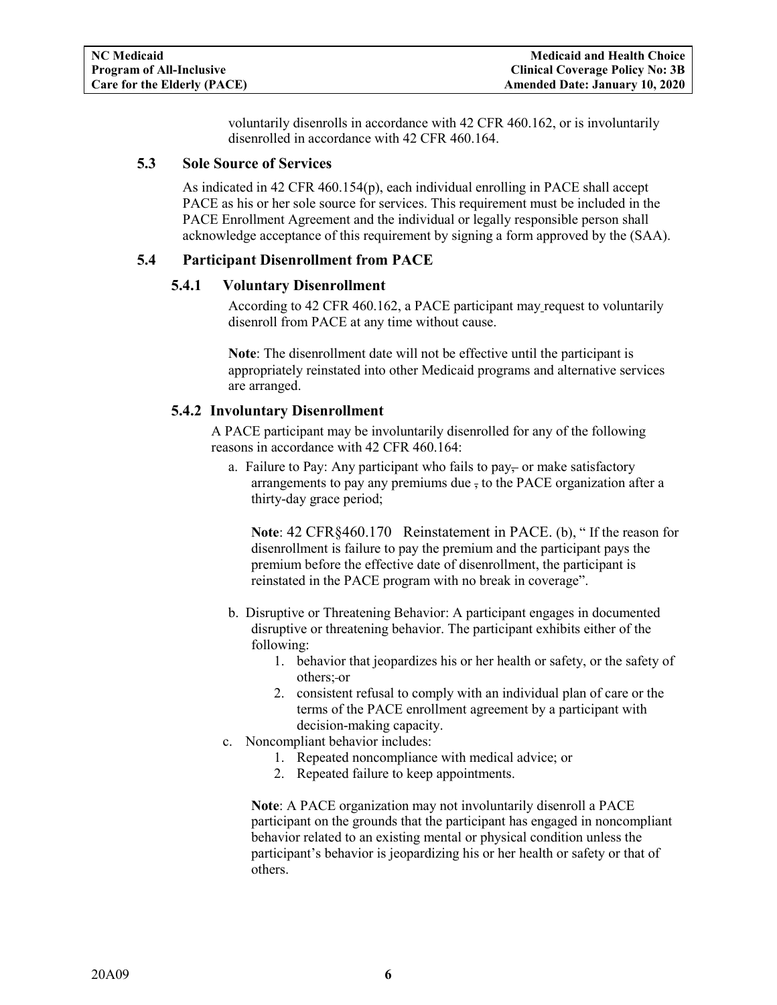voluntarily disenrolls in accordance with 42 CFR 460.162, or is involuntarily disenrolled in accordance with 42 CFR 460.164.

#### <span id="page-8-0"></span>**5.3 Sole Source of Services**

As indicated in 42 CFR 460.154(p), each individual enrolling in PACE shall accept PACE as his or her sole source for services. This requirement must be included in the PACE Enrollment Agreement and the individual or legally responsible person shall acknowledge acceptance of this requirement by signing a form approved by the (SAA).

#### <span id="page-8-2"></span><span id="page-8-1"></span>**5.4 Participant Disenrollment from PACE**

#### **5.4.1 Voluntary Disenrollment**

According to 42 CFR 460.162, a PACE participant may request to voluntarily disenroll from PACE at any time without cause.

**Note**: The disenrollment date will not be effective until the participant is appropriately reinstated into other Medicaid programs and alternative services are arranged.

#### <span id="page-8-3"></span>**5.4.2 Involuntary Disenrollment**

A PACE participant may be involuntarily disenrolled for any of the following reasons in accordance with 42 CFR 460.164:

a. Failure to Pay: Any participant who fails to pay $\frac{1}{2}$  or make satisfactory arrangements to pay any premiums due , to the PACE organization after a thirty-day grace period;

**Note**: 42 CFR§460.170 Reinstatement in PACE. (b), " If the reason for disenrollment is failure to pay the premium and the participant pays the premium before the effective date of disenrollment, the participant is reinstated in the PACE program with no break in coverage".

- b. Disruptive or Threatening Behavior: A participant engages in documented disruptive or threatening behavior. The participant exhibits either of the following:
	- 1. behavior that jeopardizes his or her health or safety, or the safety of others; or
	- 2. consistent refusal to comply with an individual plan of care or the terms of the PACE enrollment agreement by a participant with decision-making capacity.
- c. Noncompliant behavior includes:
	- 1. Repeated noncompliance with medical advice; or
	- 2. Repeated failure to keep appointments.

**Note**: A PACE organization may not involuntarily disenroll a PACE participant on the grounds that the participant has engaged in noncompliant behavior related to an existing mental or physical condition unless the participant's behavior is jeopardizing his or her health or safety or that of others.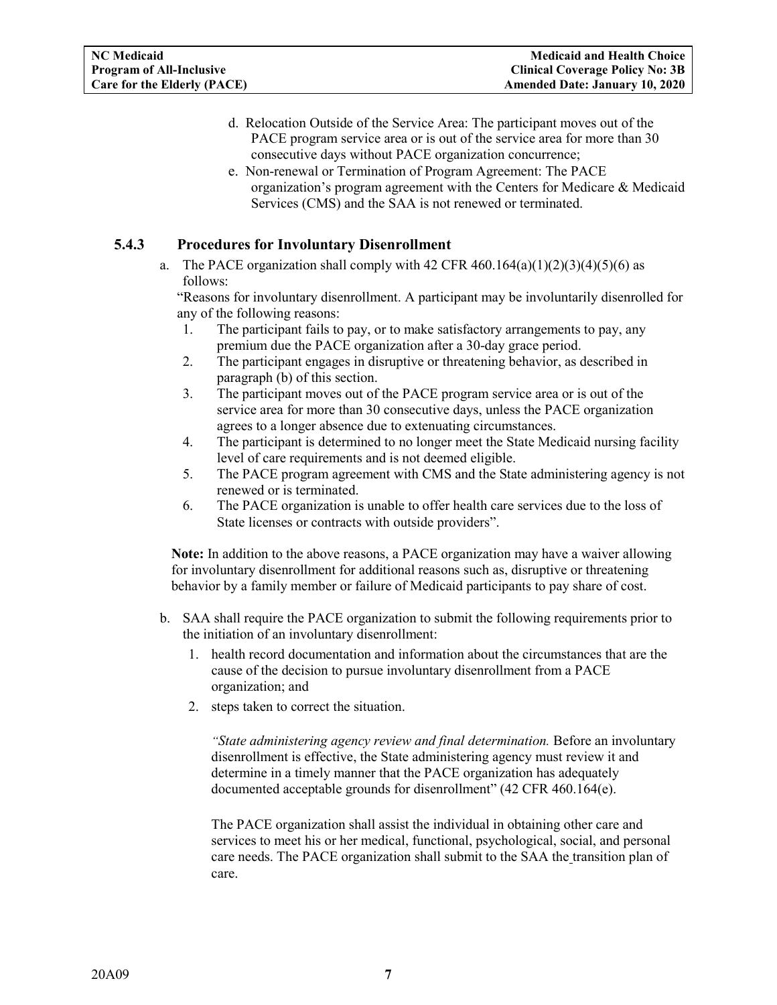- d. Relocation Outside of the Service Area: The participant moves out of the PACE program service area or is out of the service area for more than 30 consecutive days without PACE organization concurrence;
- e. Non-renewal or Termination of Program Agreement: The PACE organization's program agreement with the Centers for Medicare & Medicaid Services (CMS) and the SAA is not renewed or terminated.

### <span id="page-9-0"></span>**5.4.3 Procedures for Involuntary Disenrollment**

a. The PACE organization shall comply with 42 CFR  $460.164(a)(1)(2)(3)(4)(5)(6)$  as follows:

"Reasons for involuntary disenrollment. A participant may be involuntarily disenrolled for any of the following reasons:

- 1. The participant fails to pay, or to make satisfactory arrangements to pay, any premium due the PACE organization after a 30-day grace period.
- 2. The participant engages in disruptive or threatening behavior, as described in paragraph (b) of this section.
- 3. The participant moves out of the PACE program service area or is out of the service area for more than 30 consecutive days, unless the PACE organization agrees to a longer absence due to extenuating circumstances.
- 4. The participant is determined to no longer meet the State Medicaid nursing facility level of care requirements and is not deemed eligible.
- 5. The PACE program agreement with CMS and the State administering agency is not renewed or is terminated.
- 6. The PACE organization is unable to offer health care services due to the loss of State licenses or contracts with outside providers".

**Note:** In addition to the above reasons, a PACE organization may have a waiver allowing for involuntary disenrollment for additional reasons such as, disruptive or threatening behavior by a family member or failure of Medicaid participants to pay share of cost.

- b. SAA shall require the PACE organization to submit the following requirements prior to the initiation of an involuntary disenrollment:
	- 1. health record documentation and information about the circumstances that are the cause of the decision to pursue involuntary disenrollment from a PACE organization; and
	- 2. steps taken to correct the situation.

*"State administering agency review and final determination.* Before an involuntary disenrollment is effective, the State administering agency must review it and determine in a timely manner that the PACE organization has adequately documented acceptable grounds for disenrollment" (42 CFR 460.164(e).

The PACE organization shall assist the individual in obtaining other care and services to meet his or her medical, functional, psychological, social, and personal care needs. The PACE organization shall submit to the SAA the transition plan of care.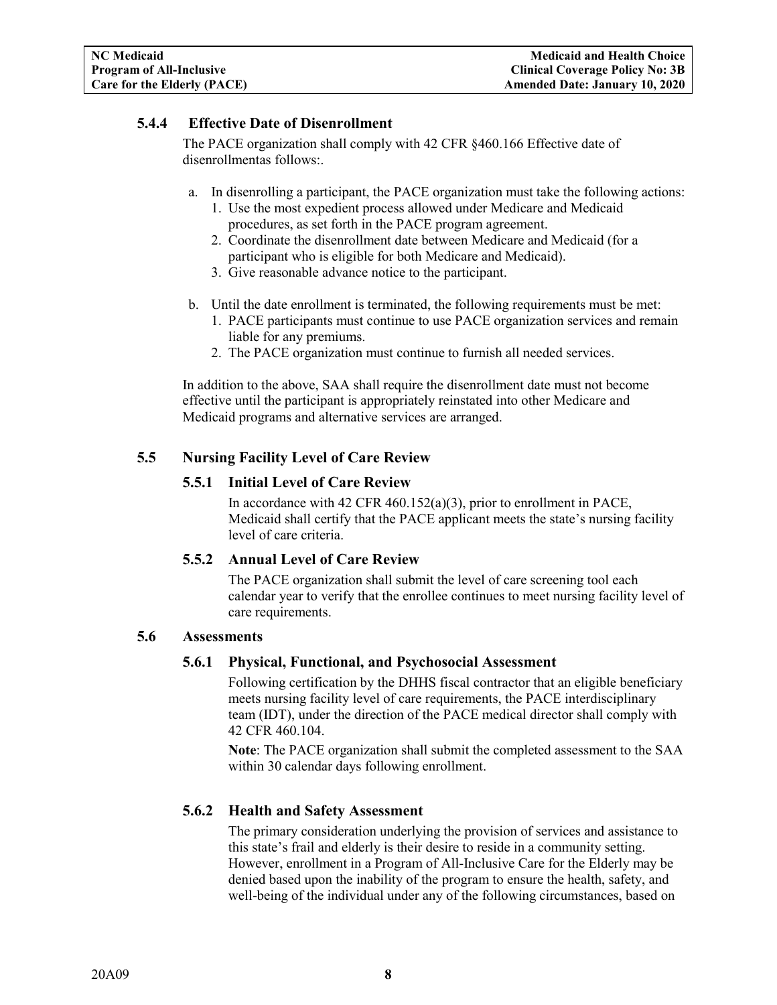### <span id="page-10-0"></span>**5.4.4 Effective Date of Disenrollment**

The PACE organization shall comply with 42 CFR §460.166 Effective date of disenrollmentas follows:.

- a. In disenrolling a participant, the PACE organization must take the following actions:
	- 1. Use the most expedient process allowed under Medicare and Medicaid procedures, as set forth in the PACE program agreement.
	- 2. Coordinate the disenrollment date between Medicare and Medicaid (for a participant who is eligible for both Medicare and Medicaid).
	- 3. Give reasonable advance notice to the participant.
- b. Until the date enrollment is terminated, the following requirements must be met:
	- 1. PACE participants must continue to use PACE organization services and remain liable for any premiums.
	- 2. The PACE organization must continue to furnish all needed services.

In addition to the above, SAA shall require the disenrollment date must not become effective until the participant is appropriately reinstated into other Medicare and Medicaid programs and alternative services are arranged.

## <span id="page-10-2"></span><span id="page-10-1"></span>**5.5 Nursing Facility Level of Care Review**

#### **5.5.1 Initial Level of Care Review**

In accordance with 42 CFR 460.152(a)(3), prior to enrollment in PACE, Medicaid shall certify that the PACE applicant meets the state's nursing facility level of care criteria.

## <span id="page-10-3"></span>**5.5.2 Annual Level of Care Review**

The PACE organization shall submit the level of care screening tool each calendar year to verify that the enrollee continues to meet nursing facility level of care requirements.

#### <span id="page-10-5"></span><span id="page-10-4"></span>**5.6 Assessments**

#### **5.6.1 Physical, Functional, and Psychosocial Assessment**

Following certification by the DHHS fiscal contractor that an eligible beneficiary meets nursing facility level of care requirements, the PACE interdisciplinary team (IDT), under the direction of the PACE medical director shall comply with 42 CFR 460.104.

**Note**: The PACE organization shall submit the completed assessment to the SAA within 30 calendar days following enrollment.

#### <span id="page-10-6"></span>**5.6.2 Health and Safety Assessment**

The primary consideration underlying the provision of services and assistance to this state's frail and elderly is their desire to reside in a community setting. However, enrollment in a Program of All-Inclusive Care for the Elderly may be denied based upon the inability of the program to ensure the health, safety, and well-being of the individual under any of the following circumstances, based on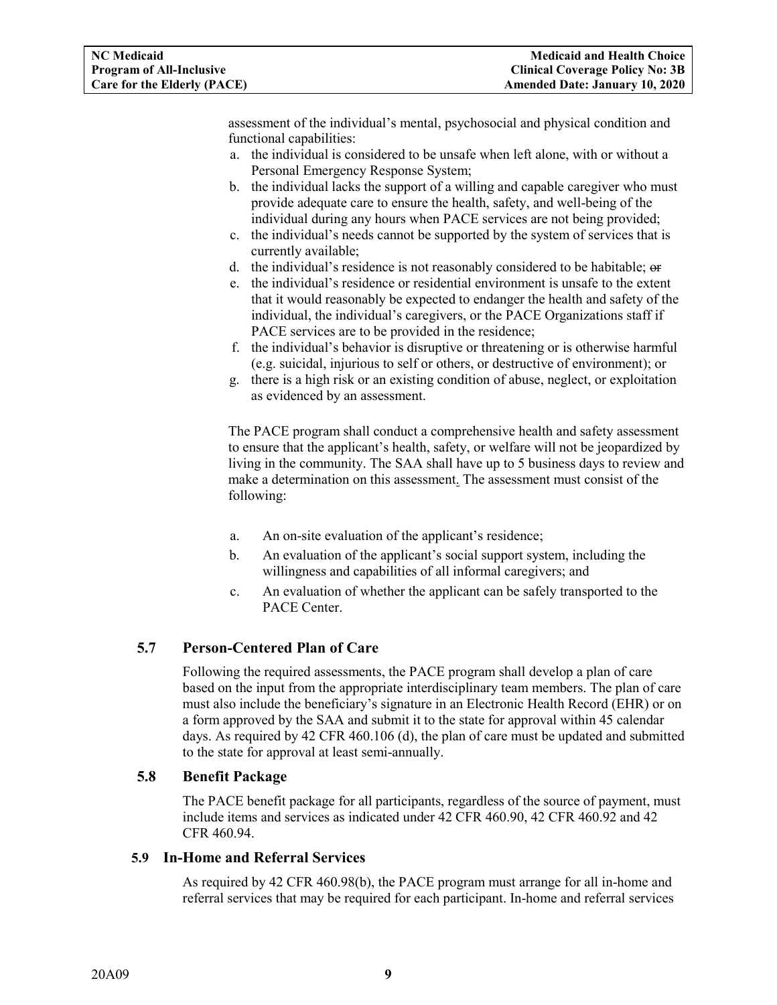assessment of the individual's mental, psychosocial and physical condition and functional capabilities:

- a. the individual is considered to be unsafe when left alone, with or without a Personal Emergency Response System;
- b. the individual lacks the support of a willing and capable caregiver who must provide adequate care to ensure the health, safety, and well-being of the individual during any hours when PACE services are not being provided;
- c. the individual's needs cannot be supported by the system of services that is currently available;
- d. the individual's residence is not reasonably considered to be habitable; or
- e. the individual's residence or residential environment is unsafe to the extent that it would reasonably be expected to endanger the health and safety of the individual, the individual's caregivers, or the PACE Organizations staff if PACE services are to be provided in the residence;
- f. the individual's behavior is disruptive or threatening or is otherwise harmful (e.g. suicidal, injurious to self or others, or destructive of environment); or
- g. there is a high risk or an existing condition of abuse, neglect, or exploitation as evidenced by an assessment.

The PACE program shall conduct a comprehensive health and safety assessment to ensure that the applicant's health, safety, or welfare will not be jeopardized by living in the community. The SAA shall have up to 5 business days to review and make a determination on this assessment. The assessment must consist of the following:

- a. An on-site evaluation of the applicant's residence;
- b. An evaluation of the applicant's social support system, including the willingness and capabilities of all informal caregivers; and
- c. An evaluation of whether the applicant can be safely transported to the PACE Center.

#### <span id="page-11-0"></span>**5.7 Person-Centered Plan of Care**

Following the required assessments, the PACE program shall develop a plan of care based on the input from the appropriate interdisciplinary team members. The plan of care must also include the beneficiary's signature in an Electronic Health Record (EHR) or on a form approved by the SAA and submit it to the state for approval within 45 calendar days. As required by 42 CFR 460.106 (d), the plan of care must be updated and submitted to the state for approval at least semi-annually.

#### <span id="page-11-1"></span>**5.8 Benefit Package**

The PACE benefit package for all participants, regardless of the source of payment, must include items and services as indicated under 42 CFR 460.90, 42 CFR 460.92 and 42 CFR 460.94.

#### <span id="page-11-2"></span>**5.9 In-Home and Referral Services**

As required by 42 CFR 460.98(b), the PACE program must arrange for all in-home and referral services that may be required for each participant. In-home and referral services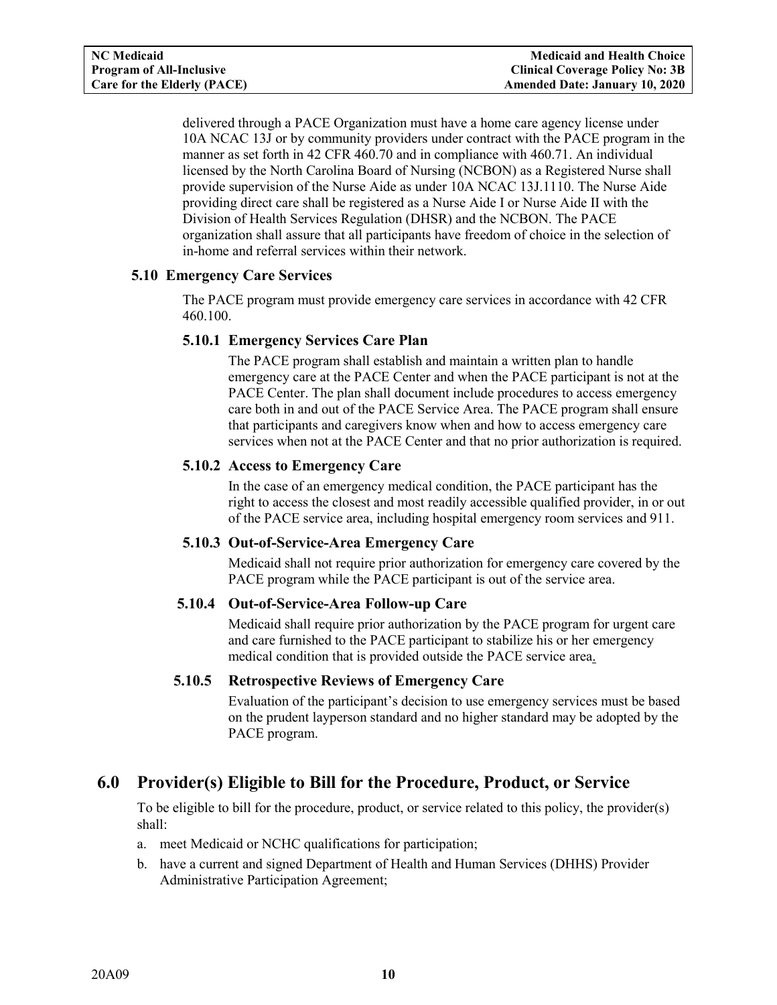delivered through a PACE Organization must have a home care agency license under 10A NCAC 13J or by community providers under contract with the PACE program in the manner as set forth in 42 CFR 460.70 and in compliance with 460.71. An individual licensed by the North Carolina Board of Nursing (NCBON) as a Registered Nurse shall provide supervision of the Nurse Aide as under 10A NCAC 13J.1110. The Nurse Aide providing direct care shall be registered as a Nurse Aide I or Nurse Aide II with the Division of Health Services Regulation (DHSR) and the NCBON. The PACE organization shall assure that all participants have freedom of choice in the selection of in-home and referral services within their network.

## <span id="page-12-1"></span><span id="page-12-0"></span>**5.10 Emergency Care Services**

The PACE program must provide emergency care services in accordance with 42 CFR 460.100.

## **5.10.1 Emergency Services Care Plan**

The PACE program shall establish and maintain a written plan to handle emergency care at the PACE Center and when the PACE participant is not at the PACE Center. The plan shall document include procedures to access emergency care both in and out of the PACE Service Area. The PACE program shall ensure that participants and caregivers know when and how to access emergency care services when not at the PACE Center and that no prior authorization is required.

## <span id="page-12-2"></span>**5.10.2 Access to Emergency Care**

In the case of an emergency medical condition, the PACE participant has the right to access the closest and most readily accessible qualified provider, in or out of the PACE service area, including hospital emergency room services and 911.

#### <span id="page-12-3"></span>**5.10.3 Out-of-Service-Area Emergency Care**

Medicaid shall not require prior authorization for emergency care covered by the PACE program while the PACE participant is out of the service area.

## <span id="page-12-4"></span>**5.10.4 Out-of-Service-Area Follow-up Care**

Medicaid shall require prior authorization by the PACE program for urgent care and care furnished to the PACE participant to stabilize his or her emergency medical condition that is provided outside the PACE service area.

#### <span id="page-12-5"></span>**5.10.5 Retrospective Reviews of Emergency Care**

Evaluation of the participant's decision to use emergency services must be based on the prudent layperson standard and no higher standard may be adopted by the PACE program.

# <span id="page-12-6"></span>**6.0 Provider(s) Eligible to Bill for the Procedure, Product, or Service**

To be eligible to bill for the procedure, product, or service related to this policy, the provider(s) shall:

- a. meet Medicaid or NCHC qualifications for participation;
- b. have a current and signed Department of Health and Human Services (DHHS) Provider Administrative Participation Agreement;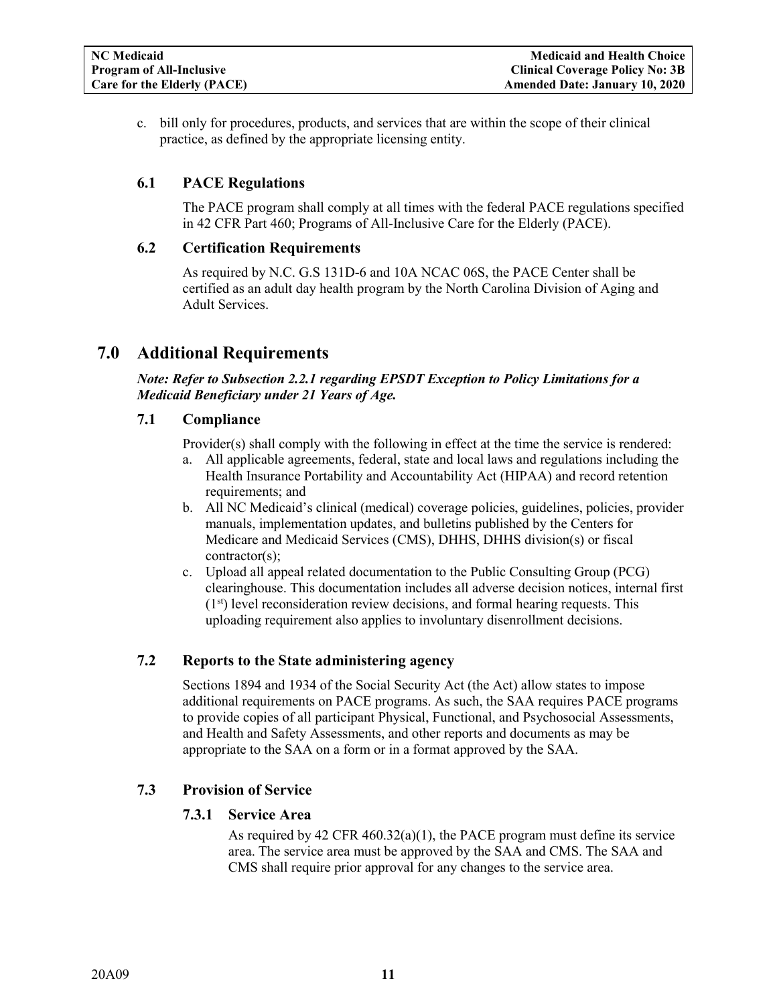c. bill only for procedures, products, and services that are within the scope of their clinical practice, as defined by the appropriate licensing entity.

#### <span id="page-13-0"></span>**6.1 PACE Regulations**

The PACE program shall comply at all times with the federal PACE regulations specified in 42 CFR Part 460; Programs of All-Inclusive Care for the Elderly (PACE).

#### <span id="page-13-1"></span>**6.2 Certification Requirements**

As required by N.C. G.S 131D-6 and 10A NCAC 06S, the PACE Center shall be certified as an adult day health program by the North Carolina Division of Aging and Adult Services.

## <span id="page-13-2"></span>**7.0 Additional Requirements**

*Note: Refer to Subsection 2.2.1 regarding EPSDT Exception to Policy Limitations for a Medicaid Beneficiary under 21 Years of Age.*

#### <span id="page-13-3"></span>**7.1 Compliance**

Provider(s) shall comply with the following in effect at the time the service is rendered:

- a. All applicable agreements, federal, state and local laws and regulations including the Health Insurance Portability and Accountability Act (HIPAA) and record retention requirements; and
- b. All NC Medicaid's clinical (medical) coverage policies, guidelines, policies, provider manuals, implementation updates, and bulletins published by the Centers for Medicare and Medicaid Services (CMS), DHHS, DHHS division(s) or fiscal contractor(s);
- c. Upload all appeal related documentation to the Public Consulting Group (PCG) clearinghouse. This documentation includes all adverse decision notices, internal first  $(1<sup>st</sup>)$  level reconsideration review decisions, and formal hearing requests. This uploading requirement also applies to involuntary disenrollment decisions.

#### <span id="page-13-4"></span>**7.2 Reports to the State administering agency**

Sections 1894 and 1934 of the Social Security Act (the Act) allow states to impose additional requirements on PACE programs. As such, the SAA requires PACE programs to provide copies of all participant Physical, Functional, and Psychosocial Assessments, and Health and Safety Assessments, and other reports and documents as may be appropriate to the SAA on a form or in a format approved by the SAA.

#### <span id="page-13-6"></span><span id="page-13-5"></span>**7.3 Provision of Service**

#### **7.3.1 Service Area**

As required by 42 CFR 460.32(a)(1), the PACE program must define its service area. The service area must be approved by the SAA and CMS. The SAA and CMS shall require prior approval for any changes to the service area.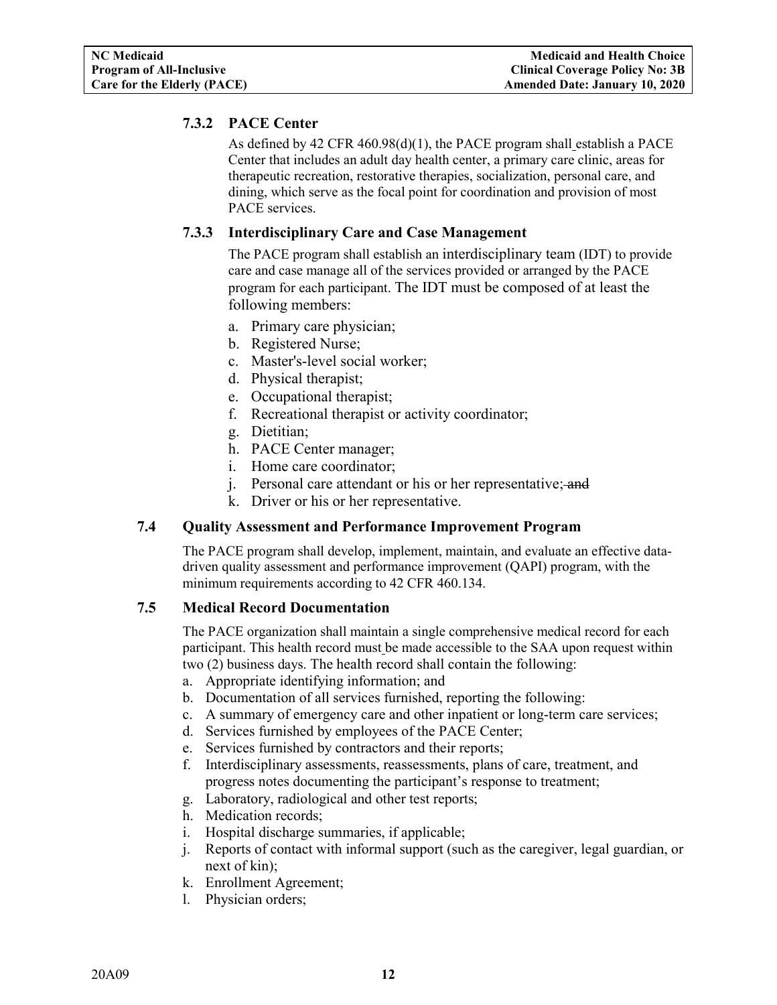## <span id="page-14-0"></span>**7.3.2 PACE Center**

As defined by 42 CFR 460.98(d)(1), the PACE program shall establish a PACE Center that includes an adult day health center, a primary care clinic, areas for therapeutic recreation, restorative therapies, socialization, personal care, and dining, which serve as the focal point for coordination and provision of most PACE services.

## <span id="page-14-1"></span>**7.3.3 Interdisciplinary Care and Case Management**

The PACE program shall establish an interdisciplinary team (IDT) to provide care and case manage all of the services provided or arranged by the PACE program for each participant. The IDT must be composed of at least the following members:

- a. Primary care physician;
- b. Registered Nurse;
- c. Master's-level social worker;
- d. Physical therapist;
- e. Occupational therapist;
- f. Recreational therapist or activity coordinator;
- g. Dietitian;
- h. PACE Center manager;
- i. Home care coordinator;
- j. Personal care attendant or his or her representative; and
- k. Driver or his or her representative.

#### <span id="page-14-2"></span>**7.4 Quality Assessment and Performance Improvement Program**

The PACE program shall develop, implement, maintain, and evaluate an effective datadriven quality assessment and performance improvement (QAPI) program, with the minimum requirements according to 42 CFR 460.134.

#### <span id="page-14-3"></span>**7.5 Medical Record Documentation**

The PACE organization shall maintain a single comprehensive medical record for each participant. This health record must be made accessible to the SAA upon request within two (2) business days. The health record shall contain the following:

- a. Appropriate identifying information; and
- b. Documentation of all services furnished, reporting the following:
- c. A summary of emergency care and other inpatient or long-term care services;
- d. Services furnished by employees of the PACE Center;
- e. Services furnished by contractors and their reports;
- f. Interdisciplinary assessments, reassessments, plans of care, treatment, and progress notes documenting the participant's response to treatment;
- g. Laboratory, radiological and other test reports;
- h. Medication records;
- i. Hospital discharge summaries, if applicable;
- j. Reports of contact with informal support (such as the caregiver, legal guardian, or next of kin);
- k. Enrollment Agreement;
- l. Physician orders;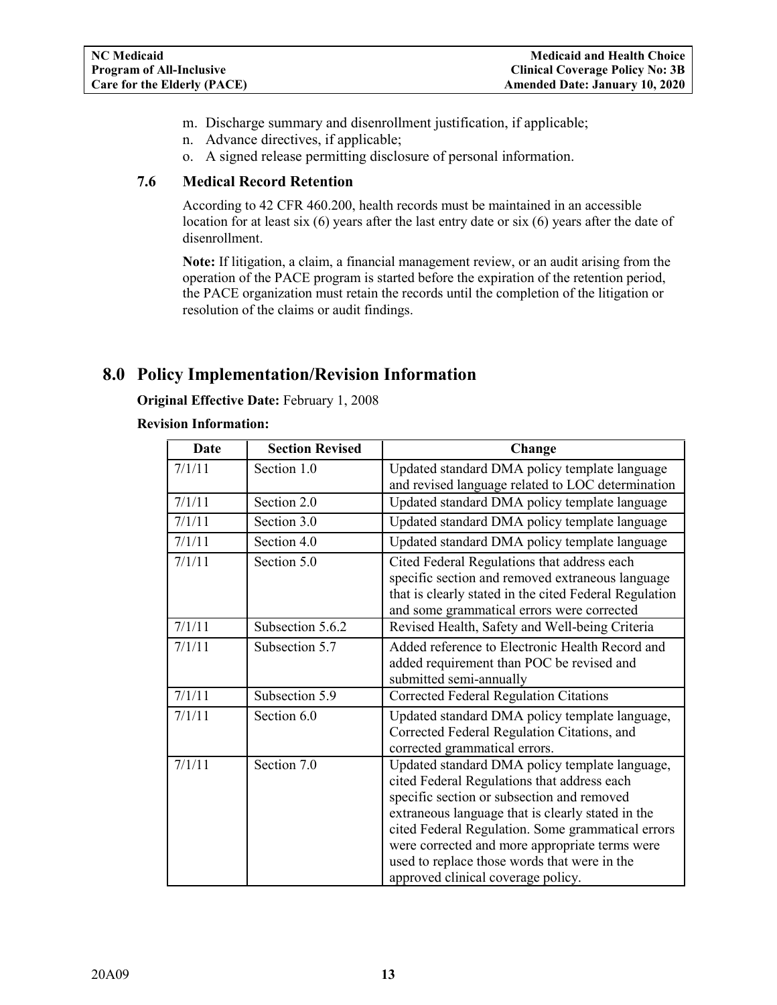- m. Discharge summary and disenrollment justification, if applicable;
- n. Advance directives, if applicable;
- o. A signed release permitting disclosure of personal information.

## <span id="page-15-0"></span>**7.6 Medical Record Retention**

According to 42 CFR 460.200, health records must be maintained in an accessible location for at least six (6) years after the last entry date or six (6) years after the date of disenrollment.

**Note:** If litigation, a claim, a financial management review, or an audit arising from the operation of the PACE program is started before the expiration of the retention period, the PACE organization must retain the records until the completion of the litigation or resolution of the claims or audit findings.

# <span id="page-15-1"></span>**8.0 Policy Implementation/Revision Information**

**Original Effective Date:** February 1, 2008

#### **Revision Information:**

| <b>Date</b> | <b>Section Revised</b> | Change                                                                                                                                                                                                                                                                                                                                                                                        |
|-------------|------------------------|-----------------------------------------------------------------------------------------------------------------------------------------------------------------------------------------------------------------------------------------------------------------------------------------------------------------------------------------------------------------------------------------------|
| 7/1/11      | Section 1.0            | Updated standard DMA policy template language<br>and revised language related to LOC determination                                                                                                                                                                                                                                                                                            |
| 7/1/11      | Section 2.0            | Updated standard DMA policy template language                                                                                                                                                                                                                                                                                                                                                 |
| 7/1/11      | Section 3.0            | Updated standard DMA policy template language                                                                                                                                                                                                                                                                                                                                                 |
| 7/1/11      | Section 4.0            | Updated standard DMA policy template language                                                                                                                                                                                                                                                                                                                                                 |
| 7/1/11      | Section 5.0            | Cited Federal Regulations that address each<br>specific section and removed extraneous language<br>that is clearly stated in the cited Federal Regulation<br>and some grammatical errors were corrected                                                                                                                                                                                       |
| 7/1/11      | Subsection 5.6.2       | Revised Health, Safety and Well-being Criteria                                                                                                                                                                                                                                                                                                                                                |
| 7/1/11      | Subsection 5.7         | Added reference to Electronic Health Record and<br>added requirement than POC be revised and<br>submitted semi-annually                                                                                                                                                                                                                                                                       |
| 7/1/11      | Subsection 5.9         | Corrected Federal Regulation Citations                                                                                                                                                                                                                                                                                                                                                        |
| 7/1/11      | Section 6.0            | Updated standard DMA policy template language,<br>Corrected Federal Regulation Citations, and<br>corrected grammatical errors.                                                                                                                                                                                                                                                                |
| 7/1/11      | Section 7.0            | Updated standard DMA policy template language,<br>cited Federal Regulations that address each<br>specific section or subsection and removed<br>extraneous language that is clearly stated in the<br>cited Federal Regulation. Some grammatical errors<br>were corrected and more appropriate terms were<br>used to replace those words that were in the<br>approved clinical coverage policy. |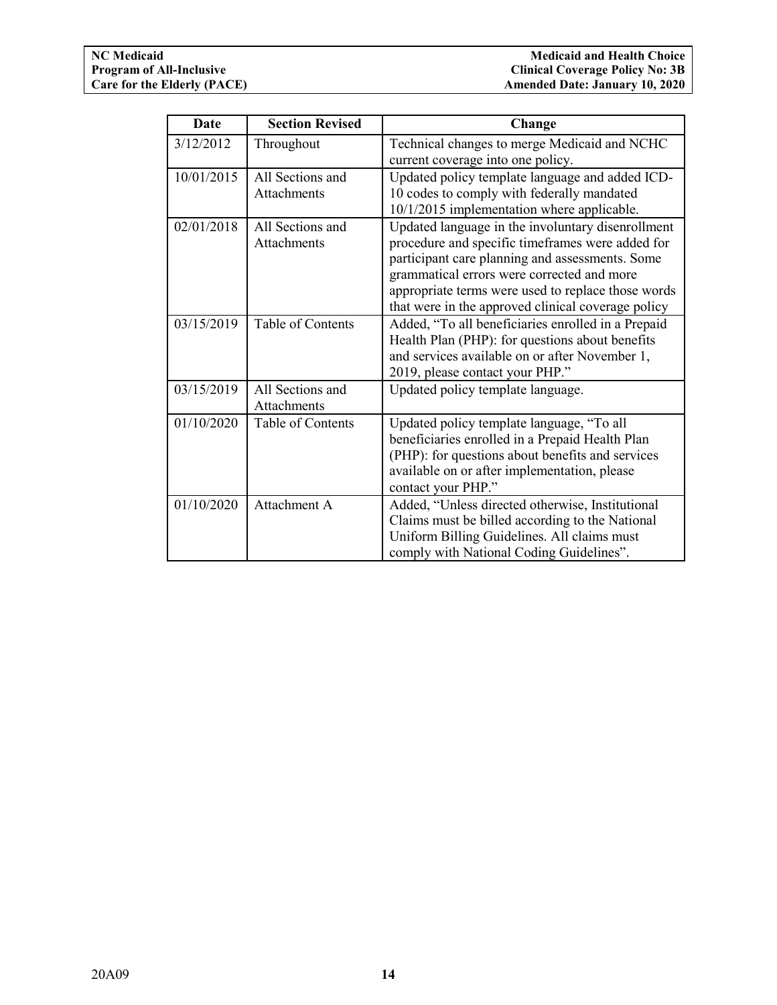| <b>Date</b> | <b>Section Revised</b>          | Change                                                                                                                                                                                                                                                                                                             |
|-------------|---------------------------------|--------------------------------------------------------------------------------------------------------------------------------------------------------------------------------------------------------------------------------------------------------------------------------------------------------------------|
| 3/12/2012   | Throughout                      | Technical changes to merge Medicaid and NCHC<br>current coverage into one policy.                                                                                                                                                                                                                                  |
| 10/01/2015  | All Sections and<br>Attachments | Updated policy template language and added ICD-<br>10 codes to comply with federally mandated<br>10/1/2015 implementation where applicable.                                                                                                                                                                        |
| 02/01/2018  | All Sections and<br>Attachments | Updated language in the involuntary disenrollment<br>procedure and specific timeframes were added for<br>participant care planning and assessments. Some<br>grammatical errors were corrected and more<br>appropriate terms were used to replace those words<br>that were in the approved clinical coverage policy |
| 03/15/2019  | Table of Contents               | Added, "To all beneficiaries enrolled in a Prepaid<br>Health Plan (PHP): for questions about benefits<br>and services available on or after November 1,<br>2019, please contact your PHP."                                                                                                                         |
| 03/15/2019  | All Sections and<br>Attachments | Updated policy template language.                                                                                                                                                                                                                                                                                  |
| 01/10/2020  | Table of Contents               | Updated policy template language, "To all<br>beneficiaries enrolled in a Prepaid Health Plan<br>(PHP): for questions about benefits and services<br>available on or after implementation, please<br>contact your PHP."                                                                                             |
| 01/10/2020  | Attachment A                    | Added, "Unless directed otherwise, Institutional<br>Claims must be billed according to the National<br>Uniform Billing Guidelines. All claims must<br>comply with National Coding Guidelines".                                                                                                                     |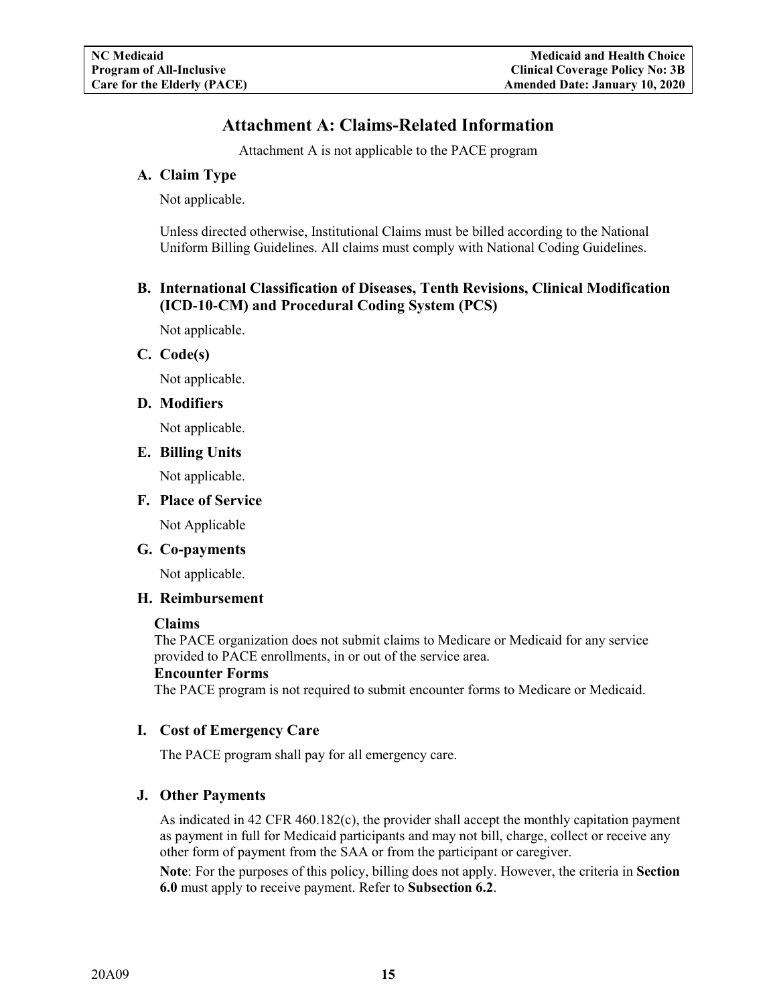# **Attachment A: Claims-Related Information**

Attachment A is not applicable to the PACE program

## <span id="page-17-1"></span><span id="page-17-0"></span>**A. Claim Type**

Not applicable.

Unless directed otherwise, Institutional Claims must be billed according to the National Uniform Billing Guidelines. All claims must comply with National Coding Guidelines.

## <span id="page-17-2"></span>**B. International Classification of Diseases, Tenth Revisions, Clinical Modification (ICD**-**10**-**CM) and Procedural Coding System (PCS)**

Not applicable.

#### <span id="page-17-3"></span>**C. Code(s)**

Not applicable.

#### <span id="page-17-4"></span>**D. Modifiers**

Not applicable.

#### <span id="page-17-5"></span>**E. Billing Units**

Not applicable.

#### <span id="page-17-6"></span>**F. Place of Service**

Not Applicable

#### <span id="page-17-7"></span>**G. Co-payments**

Not applicable.

#### <span id="page-17-8"></span>**H. Reimbursement**

#### **Claims**

The PACE organization does not submit claims to Medicare or Medicaid for any service provided to PACE enrollments, in or out of the service area.

#### **Encounter Forms**

The PACE program is not required to submit encounter forms to Medicare or Medicaid.

#### <span id="page-17-9"></span>**I. Cost of Emergency Care**

The PACE program shall pay for all emergency care.

#### <span id="page-17-10"></span>**J. Other Payments**

As indicated in 42 CFR 460.182(c), the provider shall accept the monthly capitation payment as payment in full for Medicaid participants and may not bill, charge, collect or receive any other form of payment from the SAA or from the participant or caregiver.

**Note**: For the purposes of this policy, billing does not apply. However, the criteria in **Section 6.0** must apply to receive payment. Refer to **Subsection 6.2**.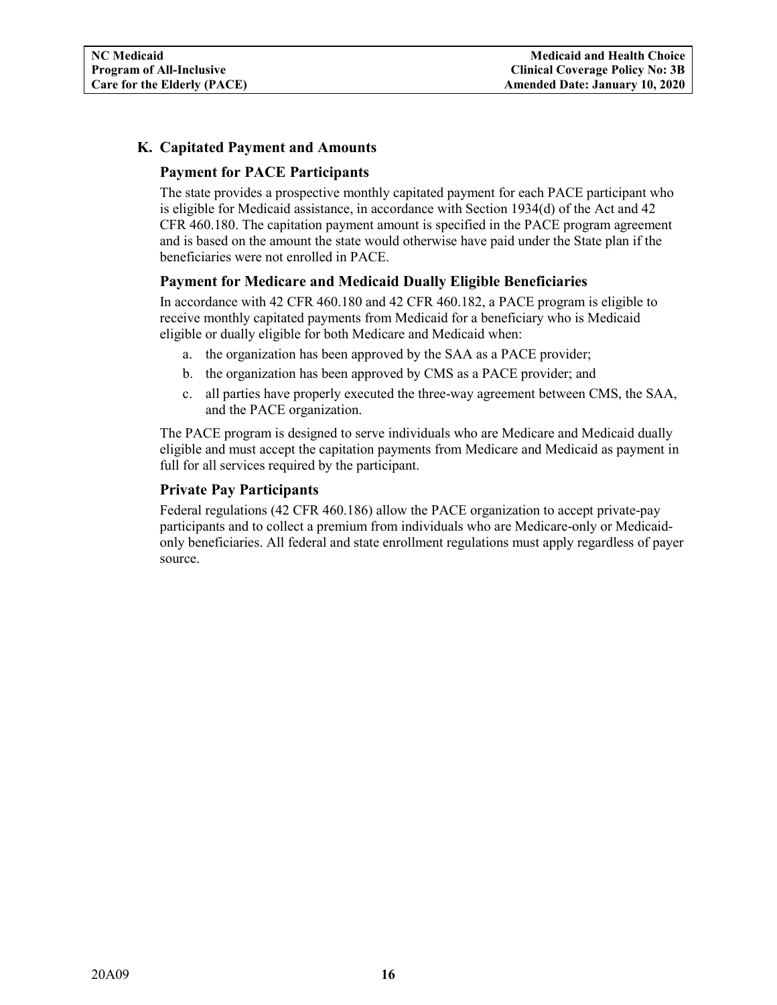## <span id="page-18-1"></span><span id="page-18-0"></span>**K. Capitated Payment and Amounts**

#### **Payment for PACE Participants**

The state provides a prospective monthly capitated payment for each PACE participant who is eligible for Medicaid assistance, in accordance with Section 1934(d) of the Act and 42 CFR 460.180. The capitation payment amount is specified in the PACE program agreement and is based on the amount the state would otherwise have paid under the State plan if the beneficiaries were not enrolled in PACE.

#### <span id="page-18-2"></span>**Payment for Medicare and Medicaid Dually Eligible Beneficiaries**

In accordance with 42 CFR 460.180 and 42 CFR 460.182, a PACE program is eligible to receive monthly capitated payments from Medicaid for a beneficiary who is Medicaid eligible or dually eligible for both Medicare and Medicaid when:

- a. the organization has been approved by the SAA as a PACE provider;
- b. the organization has been approved by CMS as a PACE provider; and
- c. all parties have properly executed the three-way agreement between CMS, the SAA, and the PACE organization.

The PACE program is designed to serve individuals who are Medicare and Medicaid dually eligible and must accept the capitation payments from Medicare and Medicaid as payment in full for all services required by the participant.

#### <span id="page-18-3"></span>**Private Pay Participants**

Federal regulations (42 CFR 460.186) allow the PACE organization to accept private-pay participants and to collect a premium from individuals who are Medicare-only or Medicaidonly beneficiaries. All federal and state enrollment regulations must apply regardless of payer source.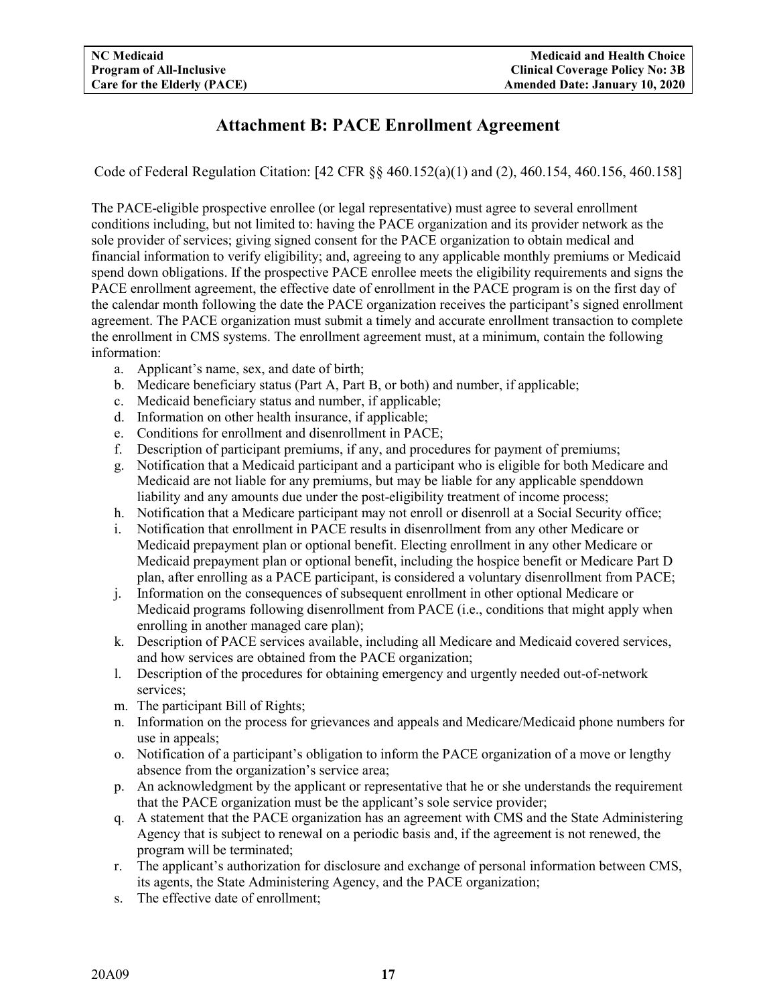# **Attachment B: PACE Enrollment Agreement**

<span id="page-19-0"></span>Code of Federal Regulation Citation: [42 CFR §§ 460.152(a)(1) and (2), 460.154, 460.156, 460.158]

The PACE-eligible prospective enrollee (or legal representative) must agree to several enrollment conditions including, but not limited to: having the PACE organization and its provider network as the sole provider of services; giving signed consent for the PACE organization to obtain medical and financial information to verify eligibility; and, agreeing to any applicable monthly premiums or Medicaid spend down obligations. If the prospective PACE enrollee meets the eligibility requirements and signs the PACE enrollment agreement, the effective date of enrollment in the PACE program is on the first day of the calendar month following the date the PACE organization receives the participant's signed enrollment agreement. The PACE organization must submit a timely and accurate enrollment transaction to complete the enrollment in CMS systems. The enrollment agreement must, at a minimum, contain the following information:

- a. Applicant's name, sex, and date of birth;
- b. Medicare beneficiary status (Part A, Part B, or both) and number, if applicable;
- c. Medicaid beneficiary status and number, if applicable;
- d. Information on other health insurance, if applicable;
- e. Conditions for enrollment and disenrollment in PACE;
- f. Description of participant premiums, if any, and procedures for payment of premiums;
- g. Notification that a Medicaid participant and a participant who is eligible for both Medicare and Medicaid are not liable for any premiums, but may be liable for any applicable spenddown liability and any amounts due under the post-eligibility treatment of income process;
- h. Notification that a Medicare participant may not enroll or disenroll at a Social Security office;
- i. Notification that enrollment in PACE results in disenrollment from any other Medicare or Medicaid prepayment plan or optional benefit. Electing enrollment in any other Medicare or Medicaid prepayment plan or optional benefit, including the hospice benefit or Medicare Part D plan, after enrolling as a PACE participant, is considered a voluntary disenrollment from PACE;
- j. Information on the consequences of subsequent enrollment in other optional Medicare or Medicaid programs following disenrollment from PACE (i.e., conditions that might apply when enrolling in another managed care plan);
- k. Description of PACE services available, including all Medicare and Medicaid covered services, and how services are obtained from the PACE organization;
- l. Description of the procedures for obtaining emergency and urgently needed out-of-network services;
- m. The participant Bill of Rights;
- n. Information on the process for grievances and appeals and Medicare/Medicaid phone numbers for use in appeals;
- o. Notification of a participant's obligation to inform the PACE organization of a move or lengthy absence from the organization's service area;
- p. An acknowledgment by the applicant or representative that he or she understands the requirement that the PACE organization must be the applicant's sole service provider;
- q. A statement that the PACE organization has an agreement with CMS and the State Administering Agency that is subject to renewal on a periodic basis and, if the agreement is not renewed, the program will be terminated;
- r. The applicant's authorization for disclosure and exchange of personal information between CMS, its agents, the State Administering Agency, and the PACE organization;
- s. The effective date of enrollment;